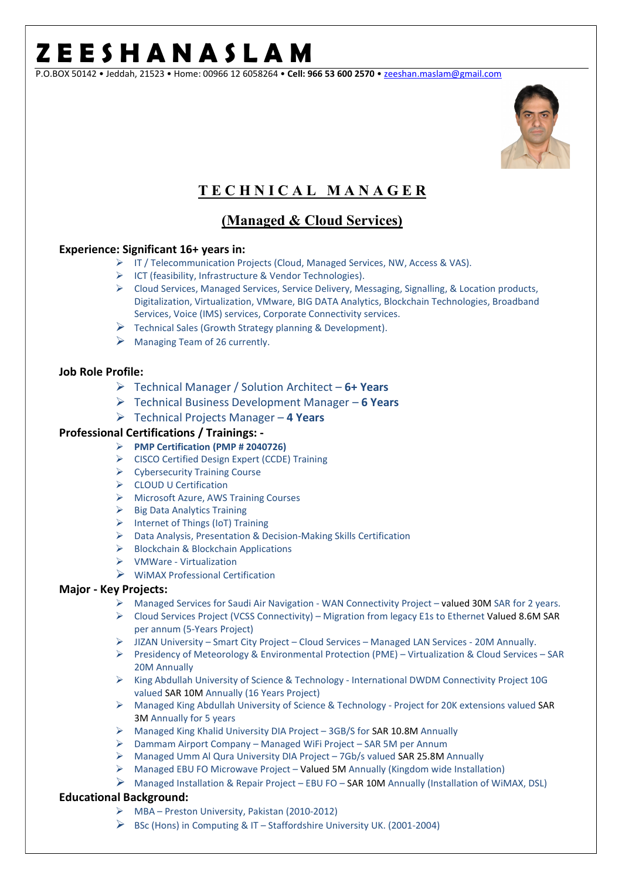P.O.BOX 50142 • Jeddah, 21523 • Home: 00966 12 6058264 • Cell: 966 53 600 2570 • zeeshan.maslam@gmail.com



### T E C H N I C A L M A N A G E R

### (Managed & Cloud Services)

#### Experience: Significant 16+ years in:

- IT / Telecommunication Projects (Cloud, Managed Services, NW, Access & VAS).
- ICT (feasibility, Infrastructure & Vendor Technologies).
- $\triangleright$  Cloud Services, Managed Services, Service Delivery, Messaging, Signalling, & Location products, Digitalization, Virtualization, VMware, BIG DATA Analytics, Blockchain Technologies, Broadband Services, Voice (IMS) services, Corporate Connectivity services.
- $\triangleright$  Technical Sales (Growth Strategy planning & Development).
- $\triangleright$  Managing Team of 26 currently.

#### Job Role Profile:

- $\triangleright$  Technical Manager / Solution Architect 6+ Years
- $\triangleright$  Technical Business Development Manager 6 Years
- $\triangleright$  Technical Projects Manager 4 Years

#### Professional Certifications / Trainings: -

- PMP Certification (PMP # 2040726)
- CISCO Certified Design Expert (CCDE) Training
- Cybersecurity Training Course
- CLOUD U Certification
- Microsoft Azure, AWS Training Courses
- $\triangleright$  Big Data Analytics Training
- $\triangleright$  Internet of Things (IoT) Training
- Data Analysis, Presentation & Decision-Making Skills Certification
- $\triangleright$  Blockchain & Blockchain Applications
- VMWare Virtualization
- $\triangleright$  WiMAX Professional Certification

#### Major - Key Projects:

- Managed Services for Saudi Air Navigation WAN Connectivity Project valued 30M SAR for 2 years.
- $\triangleright$  Cloud Services Project (VCSS Connectivity) Migration from legacy E1s to Ethernet Valued 8.6M SAR per annum (5-Years Project)
- JIZAN University Smart City Project Cloud Services Managed LAN Services 20M Annually.
- Presidency of Meteorology & Environmental Protection (PME) Virtualization & Cloud Services SAR 20M Annually
- $\triangleright$  King Abdullah University of Science & Technology International DWDM Connectivity Project 10G valued SAR 10M Annually (16 Years Project)
- $\triangleright$  Managed King Abdullah University of Science & Technology Project for 20K extensions valued SAR 3M Annually for 5 years
- Managed King Khalid University DIA Project 3GB/S for SAR 10.8M Annually
- $\triangleright$  Dammam Airport Company Managed WiFi Project SAR 5M per Annum
- Managed Umm Al Qura University DIA Project 7Gb/s valued SAR 25.8M Annually
- $\triangleright$  Managed EBU FO Microwave Project Valued 5M Annually (Kingdom wide Installation)
- $\triangleright$  Managed Installation & Repair Project EBU FO SAR 10M Annually (Installation of WiMAX, DSL)

#### Educational Background:

- MBA Preston University, Pakistan (2010-2012)
- BSc (Hons) in Computing & IT Staffordshire University UK. (2001-2004)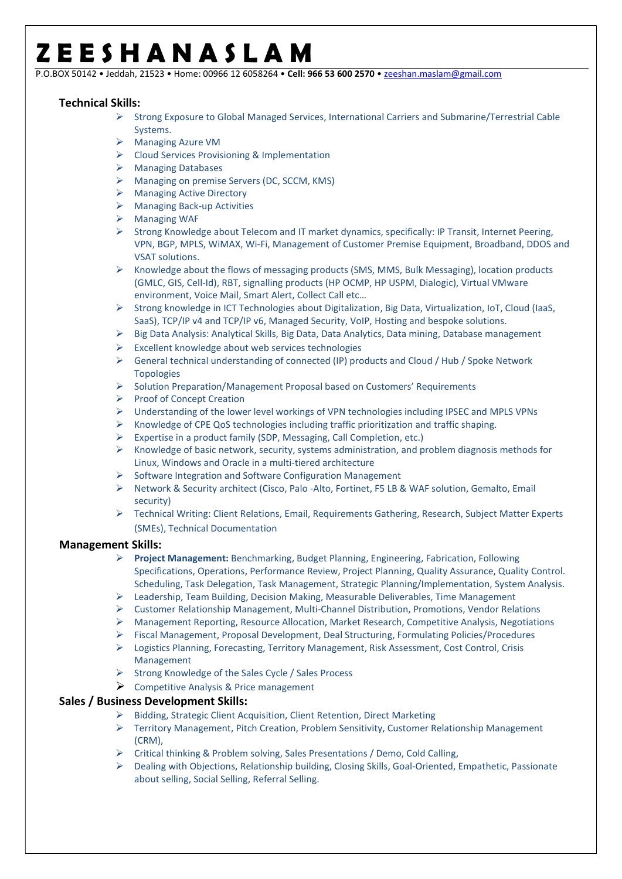P.O.BOX 50142 • Jeddah, 21523 • Home: 00966 12 6058264 • Cell: 966 53 600 2570 • zeeshan.maslam@gmail.com

#### Technical Skills:

- $\triangleright$  Strong Exposure to Global Managed Services, International Carriers and Submarine/Terrestrial Cable Systems.
- Managing Azure VM
- Cloud Services Provisioning & Implementation
- Managing Databases
- Managing on premise Servers (DC, SCCM, KMS)
- Managing Active Directory
- Managing Back-up Activities
- **▶ Managing WAF**
- $\triangleright$  Strong Knowledge about Telecom and IT market dynamics, specifically: IP Transit, Internet Peering, VPN, BGP, MPLS, WiMAX, Wi-Fi, Management of Customer Premise Equipment, Broadband, DDOS and VSAT solutions.
- $\triangleright$  Knowledge about the flows of messaging products (SMS, MMS, Bulk Messaging), location products (GMLC, GIS, Cell-Id), RBT, signalling products (HP OCMP, HP USPM, Dialogic), Virtual VMware environment, Voice Mail, Smart Alert, Collect Call etc…
- $\triangleright$  Strong knowledge in ICT Technologies about Digitalization, Big Data, Virtualization, IoT, Cloud (IaaS, SaaS), TCP/IP v4 and TCP/IP v6, Managed Security, VoIP, Hosting and bespoke solutions.
- $\triangleright$  Big Data Analysis: Analytical Skills, Big Data, Data Analytics, Data mining, Database management
- $\triangleright$  Excellent knowledge about web services technologies
- $\triangleright$  General technical understanding of connected (IP) products and Cloud / Hub / Spoke Network Topologies
- $\triangleright$  Solution Preparation/Management Proposal based on Customers' Requirements
- Proof of Concept Creation
- Understanding of the lower level workings of VPN technologies including IPSEC and MPLS VPNs
- $\triangleright$  Knowledge of CPE QoS technologies including traffic prioritization and traffic shaping.
- $\triangleright$  Expertise in a product family (SDP, Messaging, Call Completion, etc.)
- $\triangleright$  Knowledge of basic network, security, systems administration, and problem diagnosis methods for Linux, Windows and Oracle in a multi-tiered architecture
- $\triangleright$  Software Integration and Software Configuration Management
- ▶ Network & Security architect (Cisco, Palo -Alto, Fortinet, F5 LB & WAF solution, Gemalto, Email security)
- Technical Writing: Client Relations, Email, Requirements Gathering, Research, Subject Matter Experts (SMEs), Technical Documentation

#### Management Skills:

- ▶ Project Management: Benchmarking, Budget Planning, Engineering, Fabrication, Following Specifications, Operations, Performance Review, Project Planning, Quality Assurance, Quality Control. Scheduling, Task Delegation, Task Management, Strategic Planning/Implementation, System Analysis.
- $\triangleright$  Leadership, Team Building, Decision Making, Measurable Deliverables, Time Management
- Customer Relationship Management, Multi-Channel Distribution, Promotions, Vendor Relations
- Management Reporting, Resource Allocation, Market Research, Competitive Analysis, Negotiations
- Fiscal Management, Proposal Development, Deal Structuring, Formulating Policies/Procedures
- $\triangleright$  Logistics Planning, Forecasting, Territory Management, Risk Assessment, Cost Control, Crisis Management
- $\triangleright$  Strong Knowledge of the Sales Cycle / Sales Process
- $\triangleright$  Competitive Analysis & Price management

#### Sales / Business Development Skills:

- $\triangleright$  Bidding, Strategic Client Acquisition, Client Retention, Direct Marketing
- Territory Management, Pitch Creation, Problem Sensitivity, Customer Relationship Management (CRM),
- $\triangleright$  Critical thinking & Problem solving, Sales Presentations / Demo, Cold Calling,
- Dealing with Objections, Relationship building, Closing Skills, Goal-Oriented, Empathetic, Passionate about selling, Social Selling, Referral Selling.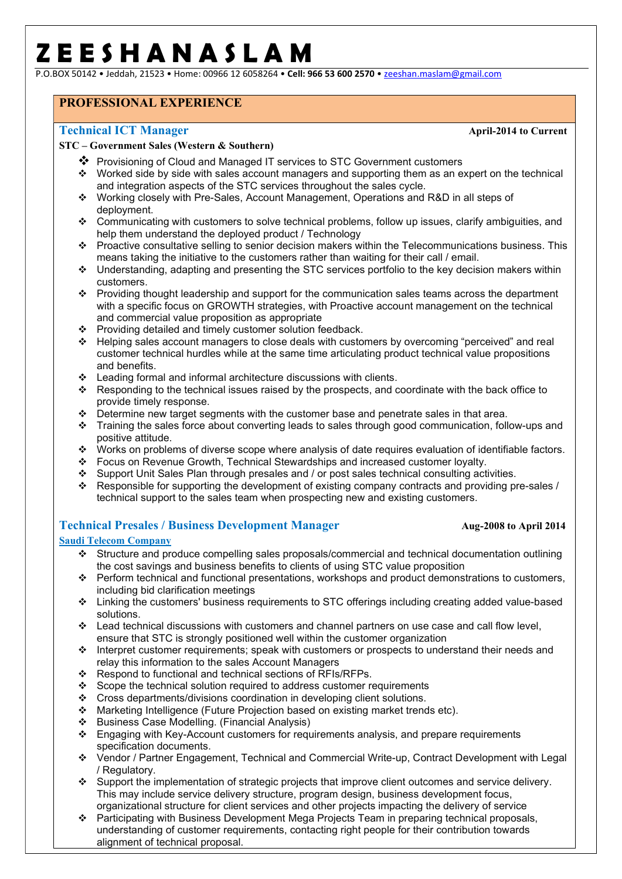P.O.BOX 50142 • Jeddah, 21523 • Home: 00966 12 6058264 • Cell: 966 53 600 2570 • zeeshan.maslam@gmail.com

### PROFESSIONAL EXPERIENCE

#### Technical ICT Manager April-2014 to Current

#### STC – Government Sales (Western & Southern)

- Provisioning of Cloud and Managed IT services to STC Government customers
- Worked side by side with sales account managers and supporting them as an expert on the technical and integration aspects of the STC services throughout the sales cycle.
- Working closely with Pre-Sales, Account Management, Operations and R&D in all steps of deployment.
- Communicating with customers to solve technical problems, follow up issues, clarify ambiguities, and help them understand the deployed product / Technology
- Proactive consultative selling to senior decision makers within the Telecommunications business. This means taking the initiative to the customers rather than waiting for their call / email.
- Understanding, adapting and presenting the STC services portfolio to the key decision makers within customers.
- \* Providing thought leadership and support for the communication sales teams across the department with a specific focus on GROWTH strategies, with Proactive account management on the technical and commercial value proposition as appropriate
- ❖ Providing detailed and timely customer solution feedback.
- Helping sales account managers to close deals with customers by overcoming "perceived" and real customer technical hurdles while at the same time articulating product technical value propositions and benefits.
- Leading formal and informal architecture discussions with clients.
- Responding to the technical issues raised by the prospects, and coordinate with the back office to provide timely response.
- $\bullet$  Determine new target segments with the customer base and penetrate sales in that area.
- \* Training the sales force about converting leads to sales through good communication, follow-ups and positive attitude.
- Works on problems of diverse scope where analysis of date requires evaluation of identifiable factors.
- ❖ Focus on Revenue Growth, Technical Stewardships and increased customer loyalty.<br>❖ Support Unit Sales Plan through presales and / or post sales technical consulting act
- ❖ Support Unit Sales Plan through presales and / or post sales technical consulting activities.<br>❖ Responsible for supporting the development of existing company contracts and providing pr
- Responsible for supporting the development of existing company contracts and providing pre-sales / technical support to the sales team when prospecting new and existing customers.

#### Technical Presales / Business Development Manager Aug-2008 to April 2014

#### Saudi Telecom Company

- Structure and produce compelling sales proposals/commercial and technical documentation outlining the cost savings and business benefits to clients of using STC value proposition
- Perform technical and functional presentations, workshops and product demonstrations to customers, including bid clarification meetings
- Linking the customers' business requirements to STC offerings including creating added value-based solutions.
- Lead technical discussions with customers and channel partners on use case and call flow level, ensure that STC is strongly positioned well within the customer organization
- Interpret customer requirements; speak with customers or prospects to understand their needs and relay this information to the sales Account Managers
- Respond to functional and technical sections of  $RFIs/RFPs$ .
- Scope the technical solution required to address customer requirements
- Cross departments/divisions coordination in developing client solutions.
- Marketing Intelligence (Future Projection based on existing market trends etc).
- Business Case Modelling. (Financial Analysis)
- \* Engaging with Key-Account customers for requirements analysis, and prepare requirements specification documents.
- Vendor / Partner Engagement, Technical and Commercial Write-up, Contract Development with Legal / Regulatory.
- Support the implementation of strategic projects that improve client outcomes and service delivery. This may include service delivery structure, program design, business development focus, organizational structure for client services and other projects impacting the delivery of service
- Participating with Business Development Mega Projects Team in preparing technical proposals, understanding of customer requirements, contacting right people for their contribution towards alignment of technical proposal.